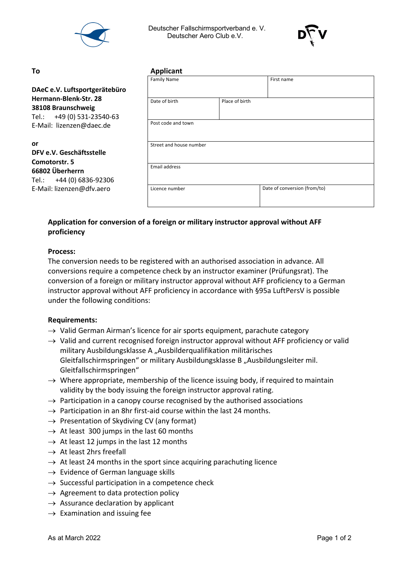

 Deutscher Fallschirmsportverband e. V. Deutscher Aero Club e.V.



#### **or**

## **DFV e.V. Geschäftsstelle Comotorstr. 5 66802 Überherrn** Tel.: +44 (0) 6836-92306 E-Mail: lizenzen@dfv.aero

| To                                                                        | <b>Applicant</b>        |                |                              |  |
|---------------------------------------------------------------------------|-------------------------|----------------|------------------------------|--|
|                                                                           | <b>Family Name</b>      |                | First name                   |  |
| DAeC e.V. Luftsportgerätebüro                                             |                         |                |                              |  |
| Hermann-Blenk-Str. 28<br>38108 Braunschweig<br>Tel.: +49 (0) 531-23540-63 | Date of birth           | Place of birth |                              |  |
| E-Mail: lizenzen@daec.de                                                  | Post code and town      |                |                              |  |
| or<br>DFV e.V. Geschäftsstelle<br>Comotorstr. 5                           | Street and house number |                |                              |  |
| 66802 Überherrn<br>Tel.: +44 (0) 6836-92306                               | Email address           |                |                              |  |
| E-Mail: lizenzen@dfv.aero                                                 | Licence number          |                | Date of conversion (from/to) |  |

# **Application for conversion of a foreign or military instructor approval without AFF proficiency**

### **Process:**

The conversion needs to be registered with an authorised association in advance. All conversions require a competence check by an instructor examiner (Prüfungsrat). The conversion of a foreign or military instructor approval without AFF proficiency to a German instructor approval without AFF proficiency in accordance with §95a LuftPersV is possible under the following conditions:

### **Requirements:**

- $\rightarrow$  Valid German Airman's licence for air sports equipment, parachute category
- $\rightarrow$  Valid and current recognised foreign instructor approval without AFF proficiency or valid military Ausbildungsklasse A "Ausbilderqualifikation militärisches Gleitfallschirmspringen" or military Ausbildungsklasse B "Ausbildungsleiter mil. Gleitfallschirmspringen"
- $\rightarrow$  Where appropriate, membership of the licence issuing body, if required to maintain validity by the body issuing the foreign instructor approval rating.
- $\rightarrow$  Participation in a canopy course recognised by the authorised associations
- $\rightarrow$  Participation in an 8hr first-aid course within the last 24 months.
- $\rightarrow$  Presentation of Skydiving CV (any format)
- $\rightarrow$  At least 300 jumps in the last 60 months
- $\rightarrow$  At least 12 jumps in the last 12 months
- $\rightarrow$  At least 2hrs freefall
- $\rightarrow$  At least 24 months in the sport since acquiring parachuting licence
- $\rightarrow$  Evidence of German language skills
- $\rightarrow$  Successful participation in a competence check
- $\rightarrow$  Agreement to data protection policy
- $\rightarrow$  Assurance declaration by applicant
- $\rightarrow$  Examination and issuing fee